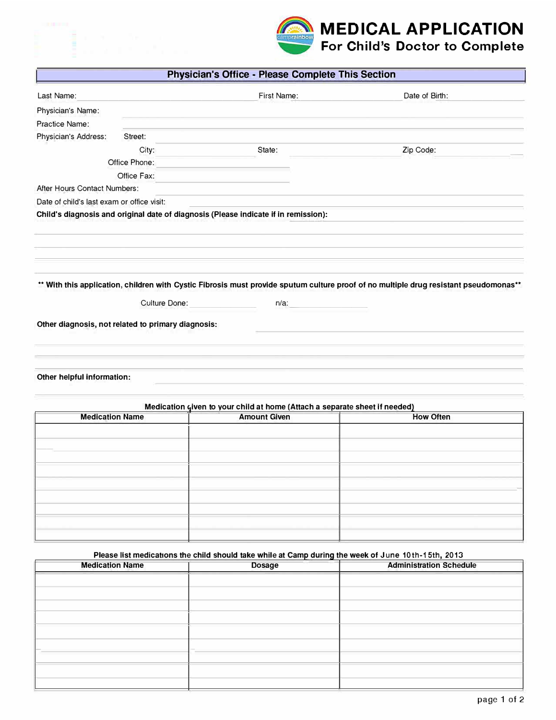

Last Name:

Physician's Name: Practice Name: Physician's Address:



## Physician's Office - Please Complete This Section First Name: Date of Birth:

State:

Zip Code:

Office Phone: Office Fax:

Street: City:

After Hours Contact Numbers:

Date of child's last exam or office visit:

Child's diagnosis and original date of diagnosis (Please indicate if in remission):

\*\* With this application, children with Cystic Fibrosis must provide sputum culture proof of no multiple drug resistant pseudomonas\*\*

Culture Done:

 $n/a$ :

Other diagnosis, not related to primary diagnosis:

Other helpful information:

| Medication given to your child at home (Attach a separate sheet if needed) |                  |  |  |  |  |  |
|----------------------------------------------------------------------------|------------------|--|--|--|--|--|
| <b>Amount Given</b>                                                        | <b>How Often</b> |  |  |  |  |  |
|                                                                            |                  |  |  |  |  |  |
|                                                                            |                  |  |  |  |  |  |
|                                                                            |                  |  |  |  |  |  |
|                                                                            |                  |  |  |  |  |  |
|                                                                            |                  |  |  |  |  |  |
|                                                                            |                  |  |  |  |  |  |
|                                                                            |                  |  |  |  |  |  |
|                                                                            |                  |  |  |  |  |  |
|                                                                            |                  |  |  |  |  |  |

## Please list medications the child should take while at Camp during the week of June 10th-15th, 2013

| <b>Medication Name</b> | <b>Dosage</b> | <b>Administration Schedule</b> |
|------------------------|---------------|--------------------------------|
|                        |               |                                |
|                        |               |                                |
|                        |               |                                |
|                        |               |                                |
|                        |               |                                |
|                        |               |                                |
|                        |               |                                |
|                        |               |                                |
|                        |               |                                |
|                        |               |                                |